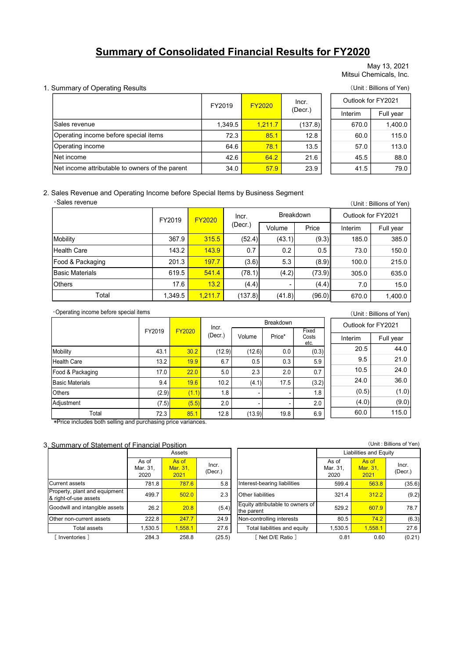# Summary of Consolidated Financial Results for FY2020

#### 1. Summary of Operating Results (Unit : Billions of Yen)

|                                                                                               |        |               |                  |               |                  |                    | May 13, 2021<br>Mitsui Chemicals, Inc. |  |
|-----------------------------------------------------------------------------------------------|--------|---------------|------------------|---------------|------------------|--------------------|----------------------------------------|--|
| <b>Summary of Operating Results</b>                                                           |        |               |                  |               |                  |                    | (Unit: Billions of Yen)                |  |
|                                                                                               |        | FY2019        |                  | <b>FY2020</b> | Incr.            |                    | Outlook for FY2021                     |  |
|                                                                                               |        |               |                  |               | (Decr.)          | Interim            | Full year                              |  |
| lSales revenue                                                                                |        |               | 1,349.5          | 1,211.7       | (137.8)          | 670.0              | 1,400.0                                |  |
| Operating income before special items                                                         |        |               | 72.3             | 85.1          | 12.8             | 60.0               | 115.0                                  |  |
| Operating income                                                                              |        |               | 64.6             | 78.1          | 13.5             | 113.0<br>57.0      |                                        |  |
| INet income                                                                                   |        |               | 42.6             | 64.2          | 21.6             | 88.0<br>45.5       |                                        |  |
| Net income attributable to owners of the parent                                               |        |               | 34.0             | 57.9          | 23.9             | 41.5<br>79.0       |                                        |  |
| Sales Revenue and Operating Income before Special Items by Business Segment<br>·Sales revenue | FY2019 | <b>FY2020</b> | Incr.<br>(Decr.) |               | <b>Breakdown</b> | Outlook for FY2021 | (Unit: Billions of Yen)                |  |
|                                                                                               |        |               |                  | Volume        | Price            | Interim            | Full year                              |  |
| Mobility                                                                                      | 367.9  | 315.5         | (52.4)           | (43.1)        | (9.3)            | 185.0              | 385.0                                  |  |
| <b>Health Care</b>                                                                            | 143.2  | 143.9         | 0.7              | 0.2           | 0.5              | 73.0               | 150.0                                  |  |
| Food & Packaging                                                                              | 201.3  | 197.7         | (3.6)            | 5.3           | (8.9)            | 100.0              | 215.0                                  |  |
| <b>Basic Materials</b>                                                                        | 619.5  | 541.4         | (78.1)           | (4.2)         | (73.9)           | 305.0              | 635.0                                  |  |

#### 2. Sales Revenue and Operating Income before Special Items by Business Segment ・Sales revenue

|                                                 |        |         |               |         |               |           |                        |                    | May 13, 2021<br>Mitsui Chemicals, Inc. |
|-------------------------------------------------|--------|---------|---------------|---------|---------------|-----------|------------------------|--------------------|----------------------------------------|
| Summary of Operating Results                    |        |         |               |         |               |           |                        |                    | (Unit: Billions of Yen)                |
|                                                 |        |         |               |         |               |           | Incr.                  | Outlook for FY2021 |                                        |
|                                                 |        |         |               | FY2019  | <b>FY2020</b> |           | (Decr.)                | Interim            | Full year                              |
| Sales revenue                                   |        |         |               | 1,349.5 |               | 1,211.7   | (137.8)                | 670.0              | 1,400.0                                |
| Operating income before special items           |        |         |               | 72.3    |               | 85.1      | 12.8                   | 60.0               | 115.0                                  |
| Operating income                                |        |         |               | 64.6    |               | 78.1      | 13.5                   | 57.0               | 113.0                                  |
| Net income                                      |        |         |               | 42.6    |               | 64.2      | 21.6                   | 45.5               | 88.0                                   |
| Net income attributable to owners of the parent |        |         |               | 34.0    |               | 57.9      | 23.9                   | 41.5               | 79.0                                   |
|                                                 |        | FY2019  | <b>FY2020</b> |         | Incr.         |           | <b>Breakdown</b>       | Outlook for FY2021 |                                        |
|                                                 |        |         |               |         | (Decr.)       | Volume    | Price                  | Interim            | Full year                              |
| Mobility                                        |        | 367.9   |               | 315.5   | (52.4)        | (43.1)    | (9.3)                  | 185.0              | 385.0                                  |
| <b>Health Care</b>                              |        | 143.2   |               | 143.9   | 0.7           | 0.2       | 0.5                    | 73.0               | 150.0                                  |
| Food & Packaging                                |        | 201.3   |               | 197.7   | (3.6)         | 5.3       | (8.9)                  | 100.0              | 215.0                                  |
| <b>Basic Materials</b>                          |        | 619.5   |               | 541.4   | (78.1)        | (4.2)     | (73.9)                 | 305.0              | 635.0                                  |
| Others                                          |        | 17.6    |               | 13.2    | (4.4)         |           | (4.4)                  | 7.0                | 15.0                                   |
| Total                                           |        | 1,349.5 |               | 1,211.7 | (137.8)       | (41.8)    | (96.0)                 | 670.0              | 1,400.0                                |
| Operating income before special items           |        |         |               |         |               |           |                        |                    | (Unit: Billions of Yen)                |
|                                                 |        |         |               | Incr.   |               | Breakdown |                        | Outlook for FY2021 |                                        |
|                                                 | FY2019 | FY2020  |               | (Decr.) | Volume        | Price*    | Fixed<br>Costs<br>etc. | Interim            | Full year                              |
| Mobility                                        | 43.1   |         | 30.2          | (12.9)  | (12.6)        | 0.0       | (0.3)                  | 20.5               | 44.0                                   |
| <b>Health Care</b>                              | 13.2   |         | 19.9          | 6.7     | 0.5           | 0.3       | 5.9                    | 9.5                | 21.0                                   |
| Food & Packaging                                | 17.0   |         | 22.0          | 5.0     | 2.3           | 2.0       | 0.7                    | 10.5               | 24.0                                   |
|                                                 |        |         |               |         |               |           |                        |                    |                                        |
| <b>Basic Materials</b>                          | 9.4    |         | 19.6          | 10.2    | (4.1)         | 17.5      | (3.2)                  | 24.0               | 36.0                                   |
| Others                                          | (2.9)  |         | (1.1)         | 1.8     |               |           | 1.8                    | (0.5)<br>(1.0)     | (1.0)<br>(0, 0)                        |

(Unit : Billions of Yen) Interim Full year Costs  $20.5$  44.0 9.5 21.0 10.5 24.0 24.0 36.0  $(0.5)$  (1.0)  $(4.0)$  (9.0) 60.0 115.0 Outlook for FY2021 Breakdown 17.6 13.2 (4.4) - (4.4) 7.0 15.0<br>
1.349.5 1.211.7 (137.8) (41.8) (96.0) 670.0 1.400.0<br>
1.349.5 1.211.7 (137.8) (41.8) (96.0) 670.0 1.400.0<br>
1.32 19.9 (Decr.) Volume Price\* Cess Interior Cultiox for FY2021<br>
1.32 19.9 6.7 0 1.349.5 1.211.7 (137.8) (41.8) (96.0) 670.0 1.400.0<br>
The Eventation (Dec.) To be ended own Findel (Dec.) (Dec.) Volume Price" Costs (Durit: Billions of Yen)<br>
FY2019 FY2020 (Dec.) Volume Price" Costs (Durit: Billions of Ye 27.019 **FY2020** Incr.<br>
27.019 **FY2020** Incr.<br>
27.019 **FY2020** Incr.<br>
28.3 20.2 (12.9) 10.6 **FY2021** Interim Fullyear<br>
28.2 13.2 13.2 0 17.<br>
28.4 19.8 10.2 (4.1) 17.5 (3.2) 5.6 44.0<br>
28.4 19.8 10.2 (4.1) 17.5 (3.2) 2.0 5.5 22.2 22.8 23.1 22.8 23.1 22.8 23.1 22.8 22.8 22.8 22.7 24.9 22.2 22.8 24.7 24.9 22.2 23.2 24.7 24.9 23.1 24.9 22.2 22.8 24.7 24.9 23.1 24.9 23.1 24.9 23.1 24.9 23.1 24.9 23.1 24.9 23.1 24.9 24.9 24.9 24.9 24.9 24.9 24.9 2 FY2019 **FY2020** (Decr.) Volume Price Coats Theories Control Travel (Decr.) Volume Price Coats (C.B.) (D.S.) (D.S.) (D.S.) (D.S.) (D.S.) (D.S.) (D.S.) (D.S.) (D.S.) (D.S.) (D.S.) (D.S.) (D.S.) (2.6) (1.1) (2.5) (1.1) (2.5) Mobility<br>
Mobility<br>
Mobility (Notice 43.1 1902 67 (12.9) (12.9) (12.9) (2.9) (2.9) (2.9) (2.9) (2.9) (2.9) (2.9) (2.9)<br>
State Mobile 68.1 (1.9) (2.9) (1.1) 1.5<br>
Universe Mobile 68.8 (2.9) (1.1) 1.5<br>
Universe Mobile 68.1 ( Others Total 1.349.5 1.11.7 (1.37.8) (4.4) - (4.4) 7.0 15.0<br>  $\frac{1}{2}$ <br>  $\frac{1}{2}$ <br>  $\frac{1}{2}$ <br>  $\frac{1}{2}$ <br>  $\frac{1}{2}$ <br>  $\frac{1}{2}$ <br>  $\frac{1}{2}$ <br>  $\frac{1}{2}$ <br>  $\frac{1}{2}$ <br>  $\frac{1}{2}$ <br>  $\frac{1}{2}$ <br>  $\frac{1}{2}$ <br>  $\frac{1}{2}$ <br>  $\frac{1}{2}$ <br>  $\frac{1}{$ Other non-current assets Non-controlling interests FY2019 FY2020 (hect.) Noutries  $\frac{94.31}{20.2}$  (12.9) (12.6) Rect<sup>1</sup> Costs<br>
assets Total assets Total assets 22.2 20.5 (4.1) (1.6) (0.3) 20.5 44.0<br>
and 4.3.1 9.02 (4.2) (1.8) 0.0 (0.3) 20.5 44.0<br>
and the materials 13.2 143.2 143.9 0.7 0.2 0.5 73.0 150.0<br>
16.1 197.7 (3.6) 5.3 (8.9) 100.0 215.0<br>
195.6 541.4 (78.1) (4.2) (73.9) 305.0 635.0<br>
17.6 13.2 (4.4) (4.4) 7.0 15.0<br>
149.5 1,211.7 (137.8) (41.8) (96.0) 670.0 1,400.0<br>
FY2020 Incr.<br>
FY2  $Fixed \begin{array}{ccc} \hline \end{array}$ etc. Net moment invitable to owners of the parent 42.6 04.2 21.5 43.5 0.83 6.9<br>
Net moment invitable to owners of the parent 43.4 0 57.9 23.9 41.5 79.0<br>
Sales Revenue and Operating Income before Special Items by Business Segmen Net income attroubility<br>
Sales Revenue and Operating Income before Special Items by Business Segment<br>
Sales revenue<br>
Mobility<br>
Mobility<br>
Food 8 Packaging 2013 197.7 (3.6)<br>
Food 8 Packaging 2013 197.7 (3.6)<br>
Food 8 Packagin Sales Revenue and Operating Income before Special Items by Business Segment<br>
Sides revenue<br>
Mobility<br>
Mobility<br>
Mobility<br>
Mobility<br>
Mobility<br>
Mobility<br>
Mobility<br>
Mobility<br>
Mobility<br>
Sales Materials Care<br>
Elealth Care<br>
Elea Sales Revenue and Operating Income before Special Items by Business Segment<br>
-Sales revenue and perating Mobility<br>
Mobility<br>
Mobility<br>
Mobility<br>
Mobility<br>
Mobility<br>
Fraction Care<br>
Fraction Care<br>
Fraction Care<br>
Fraction Car (1)nt : Billions of Ven)<br>
(1)nt : Billions of Ven)<br>
(1)nc : Breakdown<br>
(1)nc : Breakdown<br>
(1)nc interim Full year<br>
143.2 143.9 0.7 0.2 0.5 173.0 150.0<br>
201.3 197.7 (3.6) 5.3 (8.9)<br>
165.0 35.50 635.0<br>
17.6 13.2 (4.4) (13.7. 12.2 13.8 (13.9) 19.12.11.7 (13.9) 100 1100 12.15 (13.9) 1100 12.15 (13.9) 1100 12.15 (13.9) 12.9 (14.15) 13.9 (14.15) 13.9 (14.15) 13.9 (14.15) 13.9 (14.15) 13.9 (14.15) 13.9 (14.15) 13.9 (14.15) 13.9 (14.15) 13.9 (14.15) Adjustment Total 72.3 Incr.

\*Price includes both selling and purchasing price variances.

3. Summary of Statement of Financial Position

|                                                        |                           | Assets                    |                  |                                                |                           | Liabilities and Equity    |         |
|--------------------------------------------------------|---------------------------|---------------------------|------------------|------------------------------------------------|---------------------------|---------------------------|---------|
|                                                        | As of<br>Mar. 31,<br>2020 | As of<br>Mar. 31,<br>2021 | Incr.<br>(Decr.) |                                                | As of<br>Mar. 31,<br>2020 | As of<br>Mar. 31,<br>2021 | ı<br>(C |
| <b>Current assets</b>                                  | 781.8                     | 787.6                     | 5.8              | Interest-bearing liabilities                   | 599.4                     | 563.8                     |         |
| Property, plant and equipment<br>& right-of-use assets | 499.7                     | 502.0                     | 2.3              | Other liabilities                              | 321.4                     | 312.2                     |         |
| Goodwill and intangible assets                         | 26.2                      | 20.8                      | (5.4)            | Equity attributable to owners of<br>the parent | 529.2                     | 607.9                     |         |
| Other non-current assets                               | 222.8                     | 247.7                     | 24.9             | Non-controlling interests                      | 80.5                      | 74.2                      |         |
| <b>Total assets</b>                                    | 1,530.5                   | 1,558.1                   | 27.6             | Total liabilities and equity                   | 1,530.5                   | 1,558.1                   |         |
| Inventories 1                                          | 284.3                     | 258.8                     | (25.5)           | [Net D/E Ratio ]                               | 0.81                      | 0.60                      |         |

| ition                                  |                  |                                                | (Unit: Billions of Yen)   |                           |                  |  |  |  |
|----------------------------------------|------------------|------------------------------------------------|---------------------------|---------------------------|------------------|--|--|--|
| <b>\ssets</b>                          |                  |                                                |                           | Liabilities and Equity    |                  |  |  |  |
| As of<br><mark>lar. 31,</mark><br>2021 | Incr.<br>(Decr.) |                                                | As of<br>Mar. 31.<br>2020 | As of<br>Mar. 31,<br>2021 | Incr.<br>(Decr.) |  |  |  |
| 787.6                                  | 5.8              | Interest-bearing liabilities                   | 599.4                     | 563.8                     | (35.6)           |  |  |  |
| 502.0                                  | 2.3              | <b>Other liabilities</b>                       | 321.4                     | 312.2                     | (9.2)            |  |  |  |
| 20.8                                   | (5.4)            | Equity attributable to owners of<br>the parent | 529.2                     | 607.9                     | 78.7             |  |  |  |
| 247.7                                  | 24.9             | Non-controlling interests                      | 80.5                      | 74.2                      | (6.3)            |  |  |  |
| 1.558.1                                | 27.6             | Total liabilities and equity                   | 1,530.5                   | 1.558.1                   | 27.6             |  |  |  |
| 258.8                                  | (25.5)           | Met D/E Ratio 1                                | 0.81                      | 0.60                      | (0.21)           |  |  |  |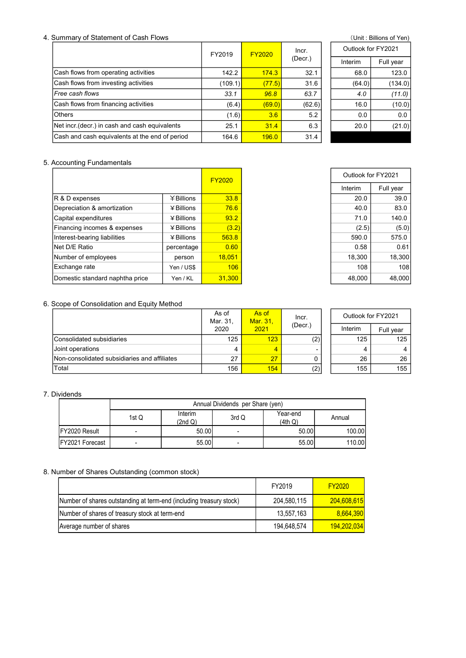## 4. Summary of Statement of Cash Flows (Unit: Billions of Yen)

|                                                | FY2019  | <b>FY2020</b> |         | Outlook for FY2021 |           |
|------------------------------------------------|---------|---------------|---------|--------------------|-----------|
|                                                |         |               | (Decr.) | Interim            | Full year |
| Cash flows from operating activities           | 142.2   | 174.3         | 32.1    | 68.0               | 123.0     |
| Cash flows from investing activities           | (109.1) | (77.5)        | 31.6    | (64.0)             | (134.0)   |
| l <i>Free cash flows</i>                       | 33.1    | 96.8          | 63.7    | 4.0                | (11.0)    |
| Cash flows from financing activities           | (6.4)   | (69.0)        | (62.6)  | 16.0               | (10.0)    |
| lOthers                                        | (1.6)   | 3.6           | 5.2     | 0.0                | 0.0       |
| Net incr (decr.) in cash and cash equivalents  | 25.1    | 31.4          | 6.3     | 20.0               | (21.0)    |
| Cash and cash equivalents at the end of period | 164.6   | 196.0         | 31.4    |                    |           |

| Outlook for EY2021 |           |  |  |  |  |  |
|--------------------|-----------|--|--|--|--|--|
| Interim            | Full year |  |  |  |  |  |
| 68.0               | 123.0     |  |  |  |  |  |
| (64.0)             | (134.0)   |  |  |  |  |  |
| 40                 | (11.0)    |  |  |  |  |  |
| 16.0               | (10.0)    |  |  |  |  |  |
| 0.0                | 0.0       |  |  |  |  |  |
| 20.0               | (21.0)    |  |  |  |  |  |
|                    |           |  |  |  |  |  |

## 5. Accounting Fundamentals

|                                 |              | <b>FY2020</b> | Outlook for FY2021 |           |
|---------------------------------|--------------|---------------|--------------------|-----------|
|                                 |              |               | Interim            | Full year |
| R & D expenses                  | $#$ Billions | 33.8          | 20.0               | 39.0      |
| Depreciation & amortization     | $4$ Billions | 76.6          | 40.0               | 83.0      |
| Capital expenditures            | $4$ Billions | 93.2          | 71.0               | 140.0     |
| Financing incomes & expenses    | ¥ Billions   | (3.2)         | (2.5)              | (5.0)     |
| Interest-bearing liabilities    | $4$ Billions | 563.8         | 590.0              | 575.0     |
| Net D/E Ratio                   | percentage   | 0.60          | 0.58               | 0.61      |
| Number of employees             | person       | 18.051        | 18,300             | 18,300    |
| Exchange rate                   | Yen / US\$   | 106           | 108                | 108       |
| Domestic standard naphtha price | Yen / KL     | 31.300        | 48.000             | 48.000    |

## 6. Scope of Consolidation and Equity Method

| ∣Financing incomes & expenses                  |                                                                     | <b>¥ Rillions</b>  | (3.2)                   |                                  |                     | (2.5)              | (5.0)     |
|------------------------------------------------|---------------------------------------------------------------------|--------------------|-------------------------|----------------------------------|---------------------|--------------------|-----------|
| Interest-bearing liabilities                   |                                                                     | ¥ Billions         | 563.8                   |                                  |                     | 590.0              | 575.0     |
| Net D/E Ratio                                  |                                                                     | percentage         | 0.60                    |                                  |                     | 0.58               | 0.61      |
| Number of employees                            |                                                                     | person             | 18,051                  |                                  |                     | 18,300             | 18,300    |
| Exchange rate                                  |                                                                     | Yen / US\$         | 106                     |                                  |                     | 108                | 108       |
| Domestic standard naphtha price                |                                                                     | Yen / KL           | 31,300                  |                                  |                     | 48,000             | 48,000    |
|                                                |                                                                     |                    |                         |                                  |                     |                    |           |
| Scope of Consolidation and Equity Method       |                                                                     |                    |                         |                                  |                     |                    |           |
|                                                |                                                                     |                    | As of<br>Mar. 31,       | As of<br>Mar. 31,                | Incr.               | Outlook for FY2021 |           |
|                                                |                                                                     |                    | 2020                    | 2021                             | (Decr.)             | Interim            | Full year |
| Consolidated subsidiaries                      |                                                                     |                    | 125                     | 123                              | (2)                 | 125                | 125       |
| Joint operations                               |                                                                     |                    | 4                       | $\overline{4}$                   |                     | 4                  | 4         |
| Non-consolidated subsidiaries and affiliates   |                                                                     |                    | 27                      | 27                               | 0                   | 26                 | 26        |
| Total                                          |                                                                     |                    | 156                     | 154                              | $\overline{(2)}$    | 155                | 155       |
|                                                |                                                                     |                    |                         |                                  |                     |                    |           |
| <b>Dividends</b>                               |                                                                     |                    |                         |                                  |                     |                    |           |
|                                                |                                                                     |                    |                         | Annual Dividends per Share (yen) |                     |                    |           |
|                                                | 1st Q                                                               | Interim<br>(2nd Q) | 3rd Q                   |                                  | Year-end<br>(4th Q) | Annual             |           |
| FY2020 Result                                  | $\overline{a}$                                                      |                    | 50.00<br>L.             |                                  | 50.00               | 100.00             |           |
| FY2021 Forecast                                | $\overline{a}$                                                      |                    | 55.00<br>$\overline{a}$ |                                  | 55.00               | 110.00             |           |
|                                                |                                                                     |                    |                         |                                  |                     |                    |           |
|                                                |                                                                     |                    |                         |                                  |                     |                    |           |
| Number of Shares Outstanding (common stock)    |                                                                     |                    |                         |                                  |                     |                    |           |
|                                                |                                                                     |                    |                         |                                  | FY2019              | <b>FY2020</b>      |           |
|                                                | Number of shares outstanding at term-end (including treasury stock) |                    |                         |                                  | 204,580,115         | 204,608,615        |           |
|                                                |                                                                     |                    |                         |                                  | 13,557,163          | 8,664,390          |           |
| Number of shares of treasury stock at term-end |                                                                     |                    |                         |                                  | 194,648,574         | 194,202,034        |           |
| Average number of shares                       |                                                                     |                    |                         |                                  |                     |                    |           |

## 7. Dividends

|                 | Annual Dividends per Share (yen) |                    |                          |                     |        |  |  |  |
|-----------------|----------------------------------|--------------------|--------------------------|---------------------|--------|--|--|--|
|                 | 1st Q                            | Interim<br>(2nd Q) | 3rd Q                    | Year-end<br>(4th Q) | Annual |  |  |  |
| FY2020 Result   | -                                | 50.00              | $\overline{\phantom{0}}$ | 50.00               | 100.00 |  |  |  |
| FY2021 Forecast | -                                | 55.00              | -                        | 55.00               | 110.00 |  |  |  |

## 8. Number of Shares Outstanding (common stock)

|                                                                     | FY2019      | <b>FY2020</b> |
|---------------------------------------------------------------------|-------------|---------------|
| Number of shares outstanding at term-end (including treasury stock) | 204,580,115 | 204,608,615   |
| Number of shares of treasury stock at term-end                      | 13,557,163  | 8,664,390     |
| Average number of shares                                            | 194,648,574 | 194,202,034   |

|                  | <b>FY2020</b> | Outlook for FY2021 |           |
|------------------|---------------|--------------------|-----------|
|                  |               | Interim            | Full year |
| <b>¥Billions</b> | 33.8          | 20.0               | 39.0      |
| ¥ Billions       | 76.6          | 40.0               | 83.0      |
| $4$ Billions     | 93.2          | 71.0               | 140.0     |
| ¥ Billions       | (3.2)         | (2.5)              | (5.0)     |
| ¥ Billions       | 563.8         | 590.0              | 575.0     |
| ercentage        | 0.60          | 0.58               | 0.61      |
| person           | 18,051        | 18,300             | 18,300    |
| Yen / US\$       | 106           | 108                | 108       |
| Yen / KL         | 31.300        | 48,000             | 48,000    |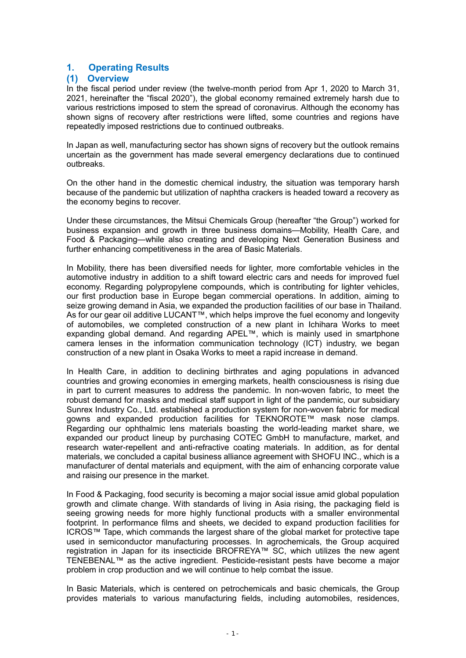# 1. Operating Results

## (1) Overview

In the fiscal period under review (the twelve-month period from Apr 1, 2020 to March 31, 2021, hereinafter the "fiscal 2020"), the global economy remained extremely harsh due to various restrictions imposed to stem the spread of coronavirus. Although the economy has shown signs of recovery after restrictions were lifted, some countries and regions have repeatedly imposed restrictions due to continued outbreaks.

In Japan as well, manufacturing sector has shown signs of recovery but the outlook remains uncertain as the government has made several emergency declarations due to continued outbreaks.

On the other hand in the domestic chemical industry, the situation was temporary harsh because of the pandemic but utilization of naphtha crackers is headed toward a recovery as the economy begins to recover.

Under these circumstances, the Mitsui Chemicals Group (hereafter "the Group") worked for business expansion and growth in three business domains—Mobility, Health Care, and Food & Packaging—while also creating and developing Next Generation Business and further enhancing competitiveness in the area of Basic Materials.

In Mobility, there has been diversified needs for lighter, more comfortable vehicles in the automotive industry in addition to a shift toward electric cars and needs for improved fuel economy. Regarding polypropylene compounds, which is contributing for lighter vehicles, our first production base in Europe began commercial operations. In addition, aiming to seize growing demand in Asia, we expanded the production facilities of our base in Thailand. As for our gear oil additive LUCANT™, which helps improve the fuel economy and longevity of automobiles, we completed construction of a new plant in Ichihara Works to meet expanding global demand. And regarding APEL™, which is mainly used in smartphone camera lenses in the information communication technology (ICT) industry, we began construction of a new plant in Osaka Works to meet a rapid increase in demand.

In Health Care, in addition to declining birthrates and aging populations in advanced countries and growing economies in emerging markets, health consciousness is rising due in part to current measures to address the pandemic. In non-woven fabric, to meet the robust demand for masks and medical staff support in light of the pandemic, our subsidiary Sunrex Industry Co., Ltd. established a production system for non-woven fabric for medical gowns and expanded production facilities for TEKNOROTE™ mask nose clamps. Regarding our ophthalmic lens materials boasting the world-leading market share, we expanded our product lineup by purchasing COTEC GmbH to manufacture, market, and research water-repellent and anti-refractive coating materials. In addition, as for dental materials, we concluded a capital business alliance agreement with SHOFU INC., which is a manufacturer of dental materials and equipment, with the aim of enhancing corporate value and raising our presence in the market.

In Food & Packaging, food security is becoming a major social issue amid global population growth and climate change. With standards of living in Asia rising, the packaging field is seeing growing needs for more highly functional products with a smaller environmental footprint. In performance films and sheets, we decided to expand production facilities for ICROS™ Tape, which commands the largest share of the global market for protective tape used in semiconductor manufacturing processes. In agrochemicals, the Group acquired registration in Japan for its insecticide BROFREYA™ SC, which utilizes the new agent TENEBENAL™ as the active ingredient. Pesticide-resistant pests have become a major problem in crop production and we will continue to help combat the issue.

In Basic Materials, which is centered on petrochemicals and basic chemicals, the Group provides materials to various manufacturing fields, including automobiles, residences,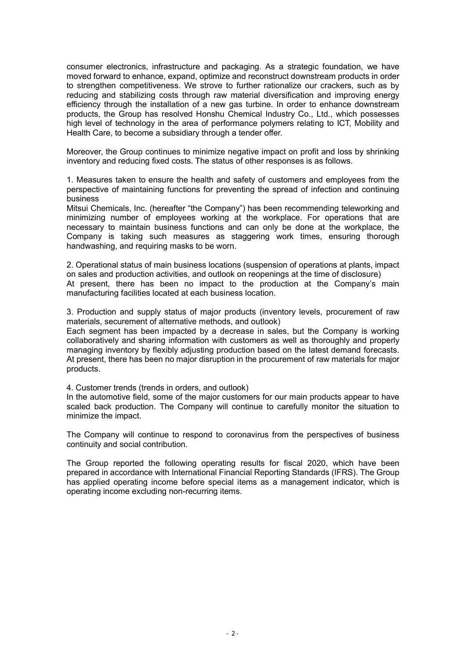consumer electronics, infrastructure and packaging. As a strategic foundation, we have moved forward to enhance, expand, optimize and reconstruct downstream products in order to strengthen competitiveness. We strove to further rationalize our crackers, such as by reducing and stabilizing costs through raw material diversification and improving energy efficiency through the installation of a new gas turbine. In order to enhance downstream products, the Group has resolved Honshu Chemical Industry Co., Ltd., which possesses high level of technology in the area of performance polymers relating to ICT, Mobility and Health Care, to become a subsidiary through a tender offer.

Moreover, the Group continues to minimize negative impact on profit and loss by shrinking inventory and reducing fixed costs. The status of other responses is as follows.

1. Measures taken to ensure the health and safety of customers and employees from the perspective of maintaining functions for preventing the spread of infection and continuing business

Mitsui Chemicals, Inc. (hereafter "the Company") has been recommending teleworking and minimizing number of employees working at the workplace. For operations that are necessary to maintain business functions and can only be done at the workplace, the Company is taking such measures as staggering work times, ensuring thorough handwashing, and requiring masks to be worn.

2. Operational status of main business locations (suspension of operations at plants, impact on sales and production activities, and outlook on reopenings at the time of disclosure) At present, there has been no impact to the production at the Company's main manufacturing facilities located at each business location.

3. Production and supply status of major products (inventory levels, procurement of raw materials, securement of alternative methods, and outlook)

Each segment has been impacted by a decrease in sales, but the Company is working collaboratively and sharing information with customers as well as thoroughly and properly managing inventory by flexibly adjusting production based on the latest demand forecasts. At present, there has been no major disruption in the procurement of raw materials for major products.

4. Customer trends (trends in orders, and outlook)

In the automotive field, some of the major customers for our main products appear to have scaled back production. The Company will continue to carefully monitor the situation to minimize the impact.

The Company will continue to respond to coronavirus from the perspectives of business continuity and social contribution.

The Group reported the following operating results for fiscal 2020, which have been prepared in accordance with International Financial Reporting Standards (IFRS). The Group has applied operating income before special items as a management indicator, which is operating income excluding non-recurring items.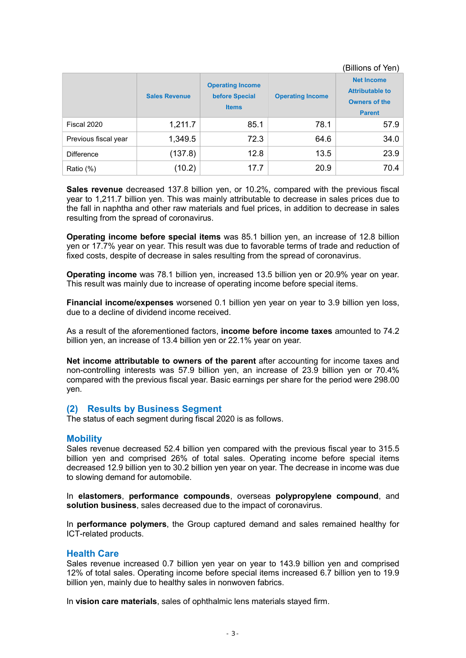|                      |                      |                                                           |                         | (Billions of Yen)                                                                    |
|----------------------|----------------------|-----------------------------------------------------------|-------------------------|--------------------------------------------------------------------------------------|
|                      | <b>Sales Revenue</b> | <b>Operating Income</b><br>before Special<br><b>Items</b> | <b>Operating Income</b> | <b>Net Income</b><br><b>Attributable to</b><br><b>Owners of the</b><br><b>Parent</b> |
| Fiscal 2020          | 1,211.7              | 85.1                                                      | 78.1                    | 57.9                                                                                 |
| Previous fiscal year | 1,349.5              | 72.3                                                      | 64.6                    | 34.0                                                                                 |
| Difference           | (137.8)              | 12.8                                                      | 13.5                    | 23.9                                                                                 |
| Ratio (%)            | (10.2)               | 17.7                                                      | 20.9                    | 70.4                                                                                 |

Sales revenue decreased 137.8 billion yen, or 10.2%, compared with the previous fiscal year to 1,211.7 billion yen. This was mainly attributable to decrease in sales prices due to the fall in naphtha and other raw materials and fuel prices, in addition to decrease in sales resulting from the spread of coronavirus.

Operating income before special items was 85.1 billion yen, an increase of 12.8 billion yen or 17.7% year on year. This result was due to favorable terms of trade and reduction of fixed costs, despite of decrease in sales resulting from the spread of coronavirus.

Operating income was 78.1 billion yen, increased 13.5 billion yen or 20.9% year on year. This result was mainly due to increase of operating income before special items.

Financial income/expenses worsened 0.1 billion yen year on year to 3.9 billion yen loss, due to a decline of dividend income received.

As a result of the aforementioned factors, income before income taxes amounted to 74.2 billion yen, an increase of 13.4 billion yen or 22.1% year on year.

Net income attributable to owners of the parent after accounting for income taxes and non-controlling interests was 57.9 billion yen, an increase of 23.9 billion yen or 70.4% compared with the previous fiscal year. Basic earnings per share for the period were 298.00 yen.

## (2) Results by Business Segment

The status of each segment during fiscal 2020 is as follows.

## **Mobility**

Sales revenue decreased 52.4 billion yen compared with the previous fiscal year to 315.5 billion yen and comprised 26% of total sales. Operating income before special items decreased 12.9 billion yen to 30.2 billion yen year on year. The decrease in income was due to slowing demand for automobile.

In elastomers, performance compounds, overseas polypropylene compound, and solution business, sales decreased due to the impact of coronavirus.

In performance polymers, the Group captured demand and sales remained healthy for ICT-related products.

## Health Care

Sales revenue increased 0.7 billion yen year on year to 143.9 billion yen and comprised 12% of total sales. Operating income before special items increased 6.7 billion yen to 19.9 billion yen, mainly due to healthy sales in nonwoven fabrics.

In vision care materials, sales of ophthalmic lens materials stayed firm.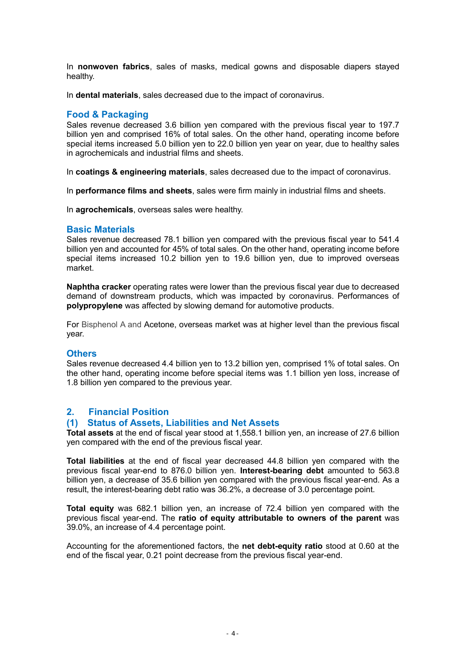In nonwoven fabrics, sales of masks, medical gowns and disposable diapers stayed healthy.

In dental materials, sales decreased due to the impact of coronavirus.

## Food & Packaging

Sales revenue decreased 3.6 billion yen compared with the previous fiscal year to 197.7 billion yen and comprised 16% of total sales. On the other hand, operating income before special items increased 5.0 billion yen to 22.0 billion yen year on year, due to healthy sales in agrochemicals and industrial films and sheets.

In coatings & engineering materials, sales decreased due to the impact of coronavirus.

In performance films and sheets, sales were firm mainly in industrial films and sheets.

In **agrochemicals**, overseas sales were healthy.

## Basic Materials

Sales revenue decreased 78.1 billion yen compared with the previous fiscal year to 541.4 billion yen and accounted for 45% of total sales. On the other hand, operating income before special items increased 10.2 billion yen to 19.6 billion yen, due to improved overseas market.

Naphtha cracker operating rates were lower than the previous fiscal year due to decreased demand of downstream products, which was impacted by coronavirus. Performances of polypropylene was affected by slowing demand for automotive products.

For Bisphenol A and Acetone, overseas market was at higher level than the previous fiscal year.

## **Others**

Sales revenue decreased 4.4 billion yen to 13.2 billion yen, comprised 1% of total sales. On the other hand, operating income before special items was 1.1 billion yen loss, increase of 1.8 billion yen compared to the previous year.

## 2. Financial Position

## (1) Status of Assets, Liabilities and Net Assets

Total assets at the end of fiscal year stood at 1,558.1 billion yen, an increase of 27.6 billion yen compared with the end of the previous fiscal year.

Total liabilities at the end of fiscal year decreased 44.8 billion yen compared with the previous fiscal year-end to 876.0 billion yen. Interest-bearing debt amounted to 563.8 billion yen, a decrease of 35.6 billion yen compared with the previous fiscal year-end. As a result, the interest-bearing debt ratio was 36.2%, a decrease of 3.0 percentage point.

Total equity was 682.1 billion yen, an increase of 72.4 billion yen compared with the previous fiscal year-end. The ratio of equity attributable to owners of the parent was 39.0%, an increase of 4.4 percentage point.

Accounting for the aforementioned factors, the net debt-equity ratio stood at 0.60 at the end of the fiscal year, 0.21 point decrease from the previous fiscal year-end.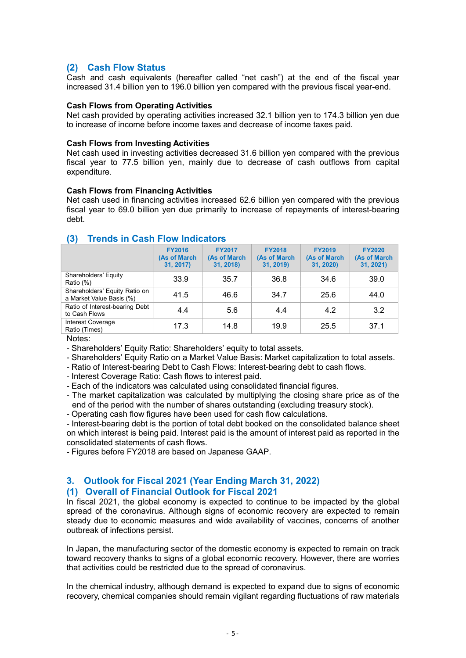# (2) Cash Flow Status

Cash and cash equivalents (hereafter called "net cash") at the end of the fiscal year increased 31.4 billion yen to 196.0 billion yen compared with the previous fiscal year-end.

## Cash Flows from Operating Activities

Net cash provided by operating activities increased 32.1 billion yen to 174.3 billion yen due to increase of income before income taxes and decrease of income taxes paid.

## Cash Flows from Investing Activities

Net cash used in investing activities decreased 31.6 billion yen compared with the previous fiscal year to 77.5 billion yen, mainly due to decrease of cash outflows from capital expenditure.

## Cash Flows from Financing Activities

Net cash used in financing activities increased 62.6 billion yen compared with the previous fiscal year to 69.0 billion yen due primarily to increase of repayments of interest-bearing debt.

|                                                           | <b>FY2016</b><br>(As of March<br>31, 2017) | <b>FY2017</b><br>(As of March<br>31, 2018) | <b>FY2018</b><br>(As of March<br>31, 2019) | <b>FY2019</b><br>(As of March<br>31, 2020) | <b>FY2020</b><br>(As of March<br>31, 2021) |
|-----------------------------------------------------------|--------------------------------------------|--------------------------------------------|--------------------------------------------|--------------------------------------------|--------------------------------------------|
| Shareholders' Equity<br>Ratio (%)                         | 33.9                                       | 35.7                                       | 36.8                                       | 34.6                                       | 39.0                                       |
| Shareholders' Equity Ratio on<br>a Market Value Basis (%) | 41.5                                       | 46.6                                       | 34.7                                       | 25.6                                       | 44.0                                       |
| Ratio of Interest-bearing Debt<br>to Cash Flows           | 4.4                                        | 5.6                                        | 4.4                                        | 4.2                                        | 3.2                                        |
| <b>Interest Coverage</b><br>Ratio (Times)                 | 17.3                                       | 14.8                                       | 19.9                                       | 25.5                                       | 37.1                                       |

## (3) Trends in Cash Flow Indicators

Notes:

- Shareholders' Equity Ratio: Shareholders' equity to total assets.

- Shareholders' Equity Ratio on a Market Value Basis: Market capitalization to total assets.

- Ratio of Interest-bearing Debt to Cash Flows: Interest-bearing debt to cash flows.

- Interest Coverage Ratio: Cash flows to interest paid.

- Each of the indicators was calculated using consolidated financial figures.

- The market capitalization was calculated by multiplying the closing share price as of the end of the period with the number of shares outstanding (excluding treasury stock).

- Operating cash flow figures have been used for cash flow calculations.

- Interest-bearing debt is the portion of total debt booked on the consolidated balance sheet on which interest is being paid. Interest paid is the amount of interest paid as reported in the consolidated statements of cash flows.

- Figures before FY2018 are based on Japanese GAAP.

# 3. Outlook for Fiscal 2021 (Year Ending March 31, 2022)

# (1) Overall of Financial Outlook for Fiscal 2021

In fiscal 2021, the global economy is expected to continue to be impacted by the global spread of the coronavirus. Although signs of economic recovery are expected to remain steady due to economic measures and wide availability of vaccines, concerns of another outbreak of infections persist.

In Japan, the manufacturing sector of the domestic economy is expected to remain on track toward recovery thanks to signs of a global economic recovery. However, there are worries that activities could be restricted due to the spread of coronavirus.

In the chemical industry, although demand is expected to expand due to signs of economic recovery, chemical companies should remain vigilant regarding fluctuations of raw materials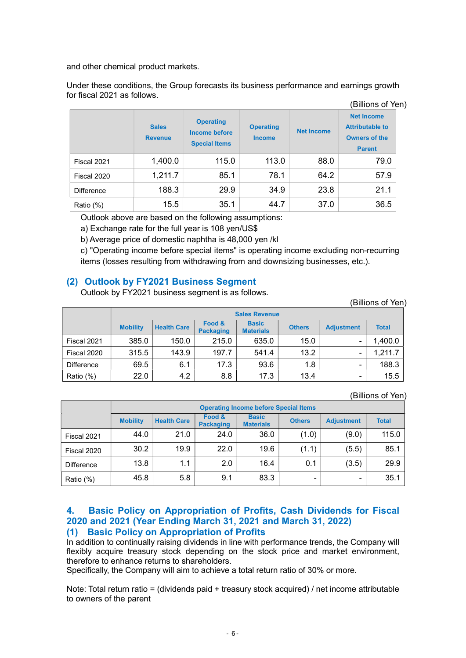and other chemical product markets.

Under these conditions, the Group forecasts its business performance and earnings growth for fiscal 2021 as follows.

|                   |                                |                                                                  |                                   |                   | (Billions of Yen)                                                                    |  |
|-------------------|--------------------------------|------------------------------------------------------------------|-----------------------------------|-------------------|--------------------------------------------------------------------------------------|--|
|                   | <b>Sales</b><br><b>Revenue</b> | <b>Operating</b><br><b>Income before</b><br><b>Special Items</b> | <b>Operating</b><br><b>Income</b> | <b>Net Income</b> | <b>Net Income</b><br><b>Attributable to</b><br><b>Owners of the</b><br><b>Parent</b> |  |
| Fiscal 2021       | 1,400.0                        | 115.0                                                            | 113.0                             | 88.0              | 79.0                                                                                 |  |
| Fiscal 2020       | 1,211.7                        | 85.1                                                             | 78.1                              | 64.2              | 57.9                                                                                 |  |
| <b>Difference</b> | 188.3                          | 29.9                                                             | 34.9                              | 23.8              | 21.1                                                                                 |  |
| Ratio (%)         | 15.5                           | 35.1                                                             | 44.7                              | 37.0              | 36.5                                                                                 |  |

Outlook above are based on the following assumptions:

a) Exchange rate for the full year is 108 yen/US\$

b) Average price of domestic naphtha is 48,000 yen /kl

c) "Operating income before special items" is operating income excluding non-recurring items (losses resulting from withdrawing from and downsizing businesses, etc.).

# (2) Outlook by FY2021 Business Segment

Outlook by FY2021 business segment is as follows.

| (Billions of Yen) |  |
|-------------------|--|
|-------------------|--|

|             |                 |                    |                            | <b>Sales Revenue</b>             |               |                   |              |
|-------------|-----------------|--------------------|----------------------------|----------------------------------|---------------|-------------------|--------------|
|             | <b>Mobility</b> | <b>Health Care</b> | Food &<br><b>Packaging</b> | <b>Basic</b><br><b>Materials</b> | <b>Others</b> | <b>Adjustment</b> | <b>Total</b> |
| Fiscal 2021 | 385.0           | 150.0              | 215.0                      | 635.0                            | 15.0          |                   | 1,400.0      |
| Fiscal 2020 | 315.5           | 143.9              | 197.7                      | 541.4                            | 13.2          | -                 | 1,211.7      |
| Difference  | 69.5            | 6.1                | 17.3                       | 93.6                             | 1.8           | -                 | 188.3        |
| Ratio (%)   | 22.0            | 4.2                | 8.8                        | 17.3                             | 13.4          | -                 | 15.5         |

(Billions of Yen)

|             |                 |                    |                            | <b>Operating Income before Special Items</b> |               |                   |              |
|-------------|-----------------|--------------------|----------------------------|----------------------------------------------|---------------|-------------------|--------------|
|             | <b>Mobility</b> | <b>Health Care</b> | Food &<br><b>Packaging</b> | <b>Basic</b><br><b>Materials</b>             | <b>Others</b> | <b>Adjustment</b> | <b>Total</b> |
| Fiscal 2021 | 44.0            | 21.0               | 24.0                       | 36.0                                         | (1.0)         | (9.0)             | 115.0        |
| Fiscal 2020 | 30.2            | 19.9               | 22.0                       | 19.6                                         | (1.1)         | (5.5)             | 85.1         |
| Difference  | 13.8            | 1.1                | 2.0                        | 16.4                                         | 0.1           | (3.5)             | 29.9         |
| Ratio (%)   | 45.8            | 5.8                | 9.1                        | 83.3                                         | -             | -                 | 35.1         |

# 4. Basic Policy on Appropriation of Profits, Cash Dividends for Fiscal 2020 and 2021 (Year Ending March 31, 2021 and March 31, 2022) (1) Basic Policy on Appropriation of Profits

In addition to continually raising dividends in line with performance trends, the Company will flexibly acquire treasury stock depending on the stock price and market environment, therefore to enhance returns to shareholders.

Specifically, the Company will aim to achieve a total return ratio of 30% or more.

Note: Total return ratio = (dividends paid + treasury stock acquired) / net income attributable to owners of the parent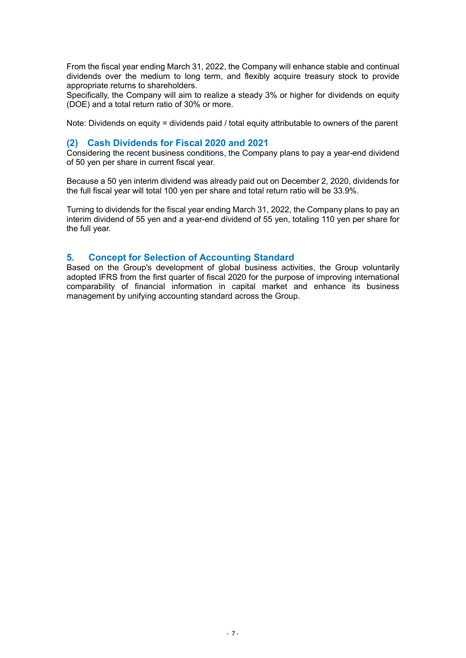From the fiscal year ending March 31, 2022, the Company will enhance stable and continual dividends over the medium to long term, and flexibly acquire treasury stock to provide appropriate returns to shareholders.

Specifically, the Company will aim to realize a steady 3% or higher for dividends on equity (DOE) and a total return ratio of 30% or more.

Note: Dividends on equity = dividends paid / total equity attributable to owners of the parent

## (2) Cash Dividends for Fiscal 2020 and 2021

Considering the recent business conditions, the Company plans to pay a year-end dividend of 50 yen per share in current fiscal year.

Because a 50 yen interim dividend was already paid out on December 2, 2020, dividends for the full fiscal year will total 100 yen per share and total return ratio will be 33.9%.

Turning to dividends for the fiscal year ending March 31, 2022, the Company plans to pay an interim dividend of 55 yen and a year-end dividend of 55 yen, totaling 110 yen per share for the full year.

## 5. Concept for Selection of Accounting Standard

Based on the Group's development of global business activities, the Group voluntarily adopted IFRS from the first quarter of fiscal 2020 for the purpose of improving international comparability of financial information in capital market and enhance its business management by unifying accounting standard across the Group.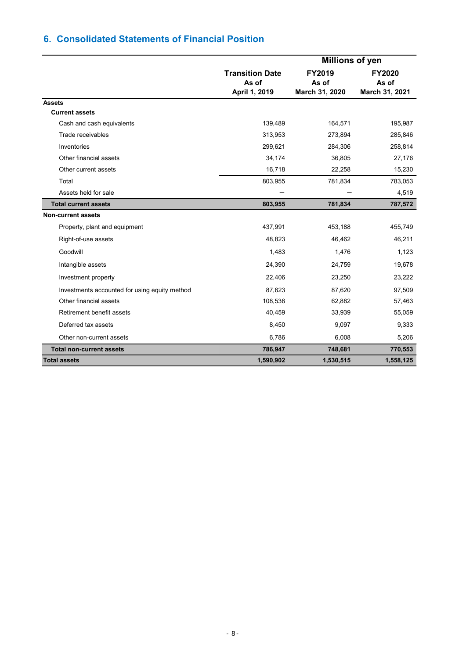# 6. Consolidated Statements of Financial Position

|                                               |                                                  | <b>Millions of yen</b>            |                                          |
|-----------------------------------------------|--------------------------------------------------|-----------------------------------|------------------------------------------|
|                                               | <b>Transition Date</b><br>As of<br>April 1, 2019 | FY2019<br>As of<br>March 31, 2020 | <b>FY2020</b><br>As of<br>March 31, 2021 |
| <b>Assets</b>                                 |                                                  |                                   |                                          |
| <b>Current assets</b>                         |                                                  |                                   |                                          |
| Cash and cash equivalents                     | 139,489                                          | 164,571                           | 195,987                                  |
| Trade receivables                             | 313,953                                          | 273,894                           | 285,846                                  |
| Inventories                                   | 299,621                                          | 284,306                           | 258,814                                  |
| Other financial assets                        | 34,174                                           | 36,805                            | 27,176                                   |
| Other current assets                          | 16,718                                           | 22,258                            | 15,230                                   |
| Total                                         | 803,955                                          | 781,834                           | 783,053                                  |
| Assets held for sale                          |                                                  |                                   | 4,519                                    |
| <b>Total current assets</b>                   | 803,955                                          | 781,834                           | 787,572                                  |
| <b>Non-current assets</b>                     |                                                  |                                   |                                          |
| Property, plant and equipment                 | 437,991                                          | 453,188                           | 455,749                                  |
| Right-of-use assets                           | 48,823                                           | 46,462                            | 46,211                                   |
| Goodwill                                      | 1,483                                            | 1,476                             | 1,123                                    |
| Intangible assets                             | 24,390                                           | 24,759                            | 19,678                                   |
| Investment property                           | 22,406                                           | 23,250                            | 23,222                                   |
| Investments accounted for using equity method | 87,623                                           | 87,620                            | 97,509                                   |
| Other financial assets                        | 108,536                                          | 62,882                            | 57,463                                   |
| Retirement benefit assets                     | 40,459                                           | 33,939                            | 55,059                                   |
| Deferred tax assets                           | 8,450                                            | 9,097                             | 9,333                                    |
| Other non-current assets                      | 6,786                                            | 6,008                             | 5,206                                    |
| <b>Total non-current assets</b>               | 786,947                                          | 748,681                           | 770,553                                  |
| <b>Total assets</b>                           | 1,590,902                                        | 1,530,515                         | 1,558,125                                |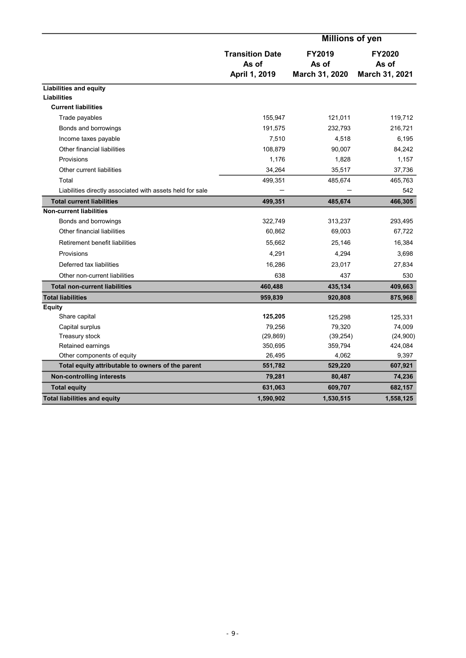|                                                           |                                                  | <b>Millions of yen</b>                   |                                          |
|-----------------------------------------------------------|--------------------------------------------------|------------------------------------------|------------------------------------------|
|                                                           | <b>Transition Date</b><br>As of<br>April 1, 2019 | <b>FY2019</b><br>As of<br>March 31, 2020 | <b>FY2020</b><br>As of<br>March 31, 2021 |
|                                                           |                                                  |                                          |                                          |
| <b>Liabilities and equity</b>                             |                                                  |                                          |                                          |
| <b>Liabilities</b><br><b>Current liabilities</b>          |                                                  |                                          |                                          |
|                                                           |                                                  |                                          |                                          |
| Trade payables                                            | 155,947                                          | 121,011                                  | 119,712                                  |
| Bonds and borrowings                                      | 191,575                                          | 232,793                                  | 216,721                                  |
| Income taxes payable                                      | 7,510                                            | 4,518                                    | 6,195                                    |
| Other financial liabilities                               | 108,879                                          | 90,007                                   | 84,242                                   |
| Provisions                                                | 1,176                                            | 1,828                                    | 1,157                                    |
| Other current liabilities                                 | 34,264                                           | 35,517                                   | 37,736                                   |
| Total                                                     | 499,351                                          | 485,674                                  | 465,763                                  |
| Liabilities directly associated with assets held for sale |                                                  |                                          | 542                                      |
| <b>Total current liabilities</b>                          | 499,351                                          | 485,674                                  | 466,305                                  |
| <b>Non-current liabilities</b>                            |                                                  |                                          |                                          |
| Bonds and borrowings                                      | 322,749                                          | 313,237                                  | 293,495                                  |
| Other financial liabilities                               | 60,862                                           | 69,003                                   | 67,722                                   |
| Retirement benefit liabilities                            | 55,662                                           | 25,146                                   | 16,384                                   |
| Provisions                                                | 4,291                                            | 4,294                                    | 3,698                                    |
| Deferred tax liabilities                                  | 16,286                                           | 23,017                                   | 27,834                                   |
| Other non-current liabilities                             | 638                                              | 437                                      | 530                                      |
| <b>Total non-current liabilities</b>                      | 460,488                                          | 435,134                                  | 409,663                                  |
| <b>Total liabilities</b>                                  | 959,839                                          | 920,808                                  | 875,968                                  |
| <b>Equity</b>                                             |                                                  |                                          |                                          |
| Share capital                                             | 125,205                                          | 125,298                                  | 125,331                                  |
| Capital surplus                                           | 79,256                                           | 79,320                                   | 74,009                                   |
| Treasury stock                                            | (29, 869)                                        | (39, 254)                                | (24,900)                                 |
| Retained earnings                                         | 350,695                                          | 359,794                                  | 424,084                                  |
| Other components of equity                                | 26,495                                           | 4,062                                    | 9,397                                    |
| Total equity attributable to owners of the parent         | 551,782                                          | 529,220                                  | 607,921                                  |
| <b>Non-controlling interests</b>                          | 79,281                                           | 80,487                                   | 74,236                                   |
| <b>Total equity</b>                                       | 631,063                                          | 609,707                                  | 682,157                                  |
| <b>Total liabilities and equity</b>                       | 1,590,902                                        | 1,530,515                                | 1,558,125                                |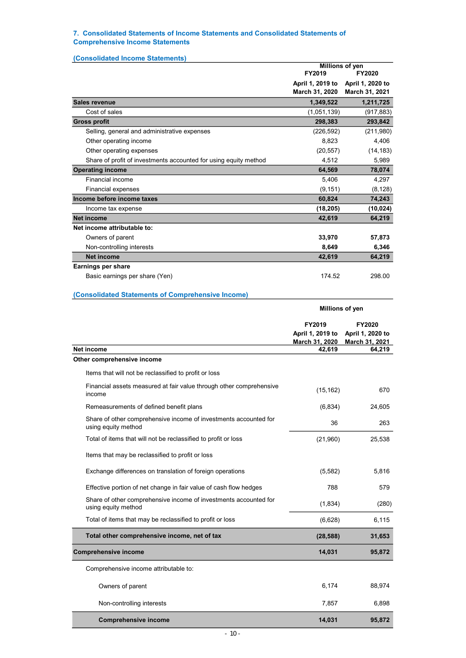#### 7. Consolidated Statements of Income Statements and Consolidated Statements of Comprehensive Income Statements

|                                                                                         |                                    | Millions of yen                    |
|-----------------------------------------------------------------------------------------|------------------------------------|------------------------------------|
|                                                                                         | FY2019                             | FY2020                             |
|                                                                                         | April 1, 2019 to<br>March 31, 2020 | April 1, 2020 to<br>March 31, 2021 |
| <b>Sales revenue</b>                                                                    | 1,349,522                          | 1,211,725                          |
| Cost of sales                                                                           | (1,051,139)                        | (917, 883)                         |
| <b>Gross profit</b>                                                                     | 298,383                            | 293,842                            |
| Selling, general and administrative expenses                                            | (226, 592)                         | (211,980)                          |
| Other operating income                                                                  | 8,823                              | 4,406                              |
| Other operating expenses                                                                | (20, 557)                          | (14, 183)                          |
| Share of profit of investments accounted for using equity method                        | 4,512                              | 5,989                              |
| <b>Operating income</b>                                                                 | 64,569                             | 78,074                             |
| Financial income                                                                        | 5,406                              | 4,297                              |
| <b>Financial expenses</b><br>Income before income taxes                                 | (9, 151)<br>60,824                 | (8, 128)<br>74,243                 |
| Income tax expense                                                                      | (18, 205)                          | (10, 024)                          |
| <b>Net income</b>                                                                       | 42,619                             | 64,219                             |
| Net income attributable to:                                                             |                                    |                                    |
| Owners of parent                                                                        | 33,970                             | 57,873                             |
| Non-controlling interests                                                               | 8,649                              | 6,346                              |
| <b>Net income</b>                                                                       | 42,619                             | 64,219                             |
| <b>Earnings per share</b>                                                               |                                    |                                    |
| Basic earnings per share (Yen)                                                          | 174 52                             | 298.00                             |
|                                                                                         |                                    |                                    |
| (Consolidated Statements of Comprehensive Income)                                       |                                    |                                    |
|                                                                                         | Millions of yen                    |                                    |
|                                                                                         | FY2019                             | FY2020                             |
|                                                                                         |                                    |                                    |
|                                                                                         | April 1, 2019 to                   | April 1, 2020 to                   |
|                                                                                         | March 31, 2020                     | <b>March 31, 2021</b>              |
| Net income                                                                              | 42,619                             | 64,219                             |
| Other comprehensive income                                                              |                                    |                                    |
| Items that will not be reclassified to profit or loss                                   |                                    |                                    |
| Financial assets measured at fair value through other comprehensive<br>income           | (15, 162)                          | 670                                |
| Remeasurements of defined benefit plans                                                 | (6, 834)                           | 24,605                             |
| Share of other comprehensive income of investments accounted for<br>using equity method | 36                                 | 263                                |
| Total of items that will not be reclassified to profit or loss                          | (21,960)                           | 25,538                             |
| Items that may be reclassified to profit or loss                                        |                                    |                                    |
| Exchange differences on translation of foreign operations                               | (5, 582)                           | 5,816                              |
| Effective portion of net change in fair value of cash flow hedges                       | 788                                | 579                                |
| Share of other comprehensive income of investments accounted for<br>using equity method | (1,834)                            | (280)                              |

(6,628) 6,115 (28,588) 31,653 extending the comprehensive income 14,031 95,872 Owners of parent 88,974 Non-controlling interests 6,898 Comprehensive income 14,031 95,872 Comprehensive income attributable to: Total of items that may be reclassified to profit or loss Total other comprehensive income, net of tax - 10 -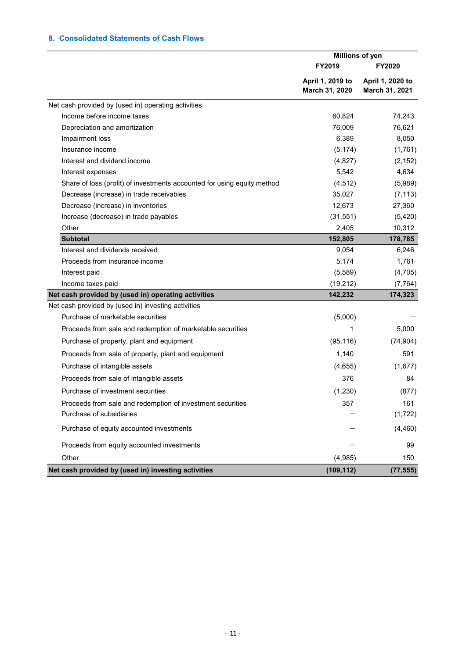## 8. Consolidated Statements of Cash Flows

|                                                                         | <b>Millions of yen</b> |                  |
|-------------------------------------------------------------------------|------------------------|------------------|
|                                                                         | FY2019                 | <b>FY2020</b>    |
|                                                                         | April 1, 2019 to       | April 1, 2020 to |
|                                                                         | March 31, 2020         | March 31, 2021   |
| Net cash provided by (used in) operating activities                     |                        |                  |
| Income before income taxes                                              | 60,824                 | 74,243           |
| Depreciation and amortization                                           | 76,009                 | 76,621           |
| Impairment loss                                                         | 6,389                  | 8,050            |
| Insurance income                                                        | (5, 174)               | (1,761)          |
| Interest and dividend income                                            | (4,827)                | (2, 152)         |
| Interest expenses                                                       | 5,542                  | 4,634            |
| Share of loss (profit) of investments accounted for using equity method | (4, 512)               | (5,989)          |
| Decrease (increase) in trade receivables                                | 35,027                 | (7, 113)         |
| Decrease (increase) in inventories                                      | 12,673                 | 27,360           |
| Increase (decrease) in trade payables                                   | (31, 551)              | (5,420)          |
| Other                                                                   | 2,405                  | 10,312           |
| <b>Subtotal</b>                                                         | 152,805                | 178,785          |
| Interest and dividends received                                         | 9,054                  | 6,246            |
| Proceeds from insurance income                                          | 5,174                  | 1,761            |
| Interest paid                                                           | (5,589)                | (4,705)          |
| Income taxes paid                                                       | (19, 212)              | (7, 764)         |
| Net cash provided by (used in) operating activities                     | 142,232                | 174,323          |
| Net cash provided by (used in) investing activities                     |                        |                  |
| Purchase of marketable securities                                       | (5,000)                |                  |
| Proceeds from sale and redemption of marketable securities              | 1                      | 5,000            |
| Purchase of property, plant and equipment                               | (95, 116)              | (74, 904)        |
| Proceeds from sale of property, plant and equipment                     | 1,140                  | 591              |
| Purchase of intangible assets                                           | (4,655)                | (1,677)          |
| Proceeds from sale of intangible assets                                 | 376                    | 84               |
| Purchase of investment securities                                       | (1, 230)               | (877)            |
| Proceeds from sale and redemption of investment securities              | 357                    | 161              |
| Purchase of subsidiaries                                                |                        | (1, 722)         |
| Purchase of equity accounted investments                                |                        | (4, 460)         |
| Proceeds from equity accounted investments                              |                        | 99               |
| Other                                                                   | (4,985)                | 150              |
| Net cash provided by (used in) investing activities                     | (109, 112)             | (77, 555)        |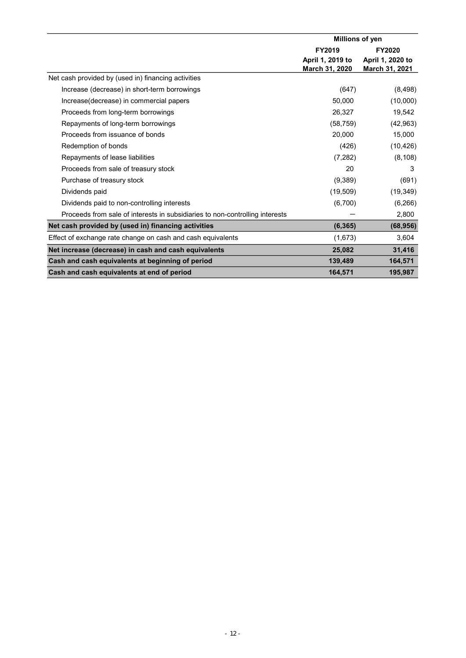|                                                                              | Millions of yen  |                  |
|------------------------------------------------------------------------------|------------------|------------------|
|                                                                              | FY2019           | <b>FY2020</b>    |
|                                                                              | April 1, 2019 to | April 1, 2020 to |
|                                                                              | March 31, 2020   | March 31, 2021   |
| Net cash provided by (used in) financing activities                          |                  |                  |
| Increase (decrease) in short-term borrowings                                 | (647)            | (8, 498)         |
| Increase(decrease) in commercial papers                                      | 50,000           | (10,000)         |
| Proceeds from long-term borrowings                                           | 26,327           | 19,542           |
| Repayments of long-term borrowings                                           | (58, 759)        | (42, 963)        |
| Proceeds from issuance of bonds                                              | 20,000           | 15,000           |
| Redemption of bonds                                                          | (426)            | (10, 426)        |
| Repayments of lease liabilities                                              | (7, 282)         | (8, 108)         |
| Proceeds from sale of treasury stock                                         | 20               | 3                |
| Purchase of treasury stock                                                   | (9,389)          | (691)            |
| Dividends paid                                                               | (19, 509)        | (19, 349)        |
| Dividends paid to non-controlling interests                                  | (6,700)          | (6, 266)         |
| Proceeds from sale of interests in subsidiaries to non-controlling interests |                  | 2,800            |
| Net cash provided by (used in) financing activities                          | (6, 365)         | (68, 956)        |
| Effect of exchange rate change on cash and cash equivalents                  | (1,673)          | 3,604            |
| Net increase (decrease) in cash and cash equivalents                         | 25,082           | 31,416           |
| Cash and cash equivalents at beginning of period                             | 139,489          | 164,571          |
| Cash and cash equivalents at end of period                                   | 164,571          | 195,987          |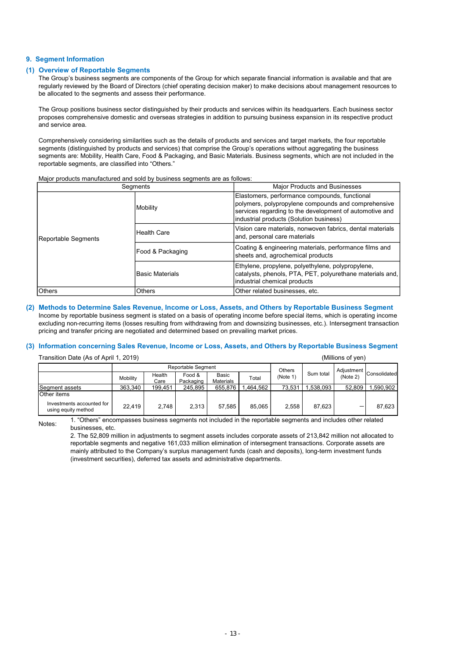#### 9. Segment Information

#### (1) Overview of Reportable Segments

The Group's business segments are components of the Group for which separate financial information is available and that are regularly reviewed by the Board of Directors (chief operating decision maker) to make decisions about management resources to be allocated to the segments and assess their performance.

The Group positions business sector distinguished by their products and services within its headquarters. Each business sector proposes comprehensive domestic and overseas strategies in addition to pursuing business expansion in its respective product and service area.

Comprehensively considering similarities such as the details of products and services and target markets, the four reportable segments (distinguished by products and services) that comprise the Group's operations without aggregating the business segments are: Mobility, Health Care, Food & Packaging, and Basic Materials. Business segments, which are not included in the reportable segments, are classified into "Others."

#### Major products manufactured and sold by business segments are as follows:

|                                                                                                                                                                                                                                                   | Segments                   |          |                  |                                                                                                                                                                                                                                                                                                                                                                                                                                                                        |                    |                                                                                                                                                                                                            | <b>Major Products and Businesses</b> |           |                   |                  |  |  |  |
|---------------------------------------------------------------------------------------------------------------------------------------------------------------------------------------------------------------------------------------------------|----------------------------|----------|------------------|------------------------------------------------------------------------------------------------------------------------------------------------------------------------------------------------------------------------------------------------------------------------------------------------------------------------------------------------------------------------------------------------------------------------------------------------------------------------|--------------------|------------------------------------------------------------------------------------------------------------------------------------------------------------------------------------------------------------|--------------------------------------|-----------|-------------------|------------------|--|--|--|
|                                                                                                                                                                                                                                                   |                            |          | Mobility         |                                                                                                                                                                                                                                                                                                                                                                                                                                                                        |                    | Elastomers, performance compounds, functional<br>polymers, polypropylene compounds and comprehensive<br>services regarding to the development of automotive and<br>industrial products (Solution business) |                                      |           |                   |                  |  |  |  |
|                                                                                                                                                                                                                                                   | <b>Reportable Segments</b> |          | Health Care      |                                                                                                                                                                                                                                                                                                                                                                                                                                                                        |                    | Vision care materials, nonwoven fabrics, dental materials<br>and, personal care materials                                                                                                                  |                                      |           |                   |                  |  |  |  |
|                                                                                                                                                                                                                                                   |                            |          | Food & Packaging |                                                                                                                                                                                                                                                                                                                                                                                                                                                                        |                    | Coating & engineering materials, performance films and<br>sheets and, agrochemical products                                                                                                                |                                      |           |                   |                  |  |  |  |
|                                                                                                                                                                                                                                                   |                            |          | Basic Materials  |                                                                                                                                                                                                                                                                                                                                                                                                                                                                        |                    | Ethylene, propylene, polyethylene, polypropylene,<br>catalysts, phenols, PTA, PET, polyurethane materials and,<br>industrial chemical products                                                             |                                      |           |                   |                  |  |  |  |
| Others                                                                                                                                                                                                                                            |                            |          | Others           |                                                                                                                                                                                                                                                                                                                                                                                                                                                                        |                    | Other related businesses, etc.                                                                                                                                                                             |                                      |           |                   |                  |  |  |  |
| pricing and transfer pricing are negotiated and determined based on prevailing market prices.<br>Information concerning Sales Revenue, Income or Loss, Assets, and Others by Reportable Business Segment<br>Transition Date (As of April 1, 2019) |                            |          |                  |                                                                                                                                                                                                                                                                                                                                                                                                                                                                        |                    |                                                                                                                                                                                                            |                                      |           | (Millions of yen) |                  |  |  |  |
|                                                                                                                                                                                                                                                   |                            |          |                  | Reportable Segment                                                                                                                                                                                                                                                                                                                                                                                                                                                     |                    |                                                                                                                                                                                                            | Others                               |           | Adjustment        |                  |  |  |  |
|                                                                                                                                                                                                                                                   |                            | Mobility | Health<br>Care   | Food &<br>Packaging                                                                                                                                                                                                                                                                                                                                                                                                                                                    | Basic<br>Materials | Total                                                                                                                                                                                                      | (Note 1)                             | Sum total | (Note 2)          | Consolidated     |  |  |  |
| Segment assets                                                                                                                                                                                                                                    |                            | 363,340  | 199,451          | 245,895                                                                                                                                                                                                                                                                                                                                                                                                                                                                | 655,876            | 1,464,562                                                                                                                                                                                                  | 73,531                               | 1,538,093 |                   | 52,809 1,590,902 |  |  |  |
| Other items<br>Investments accounted for<br>using equity method                                                                                                                                                                                   |                            | 22,419   | 2,748            | 2,313                                                                                                                                                                                                                                                                                                                                                                                                                                                                  | 57,585             | 85,065                                                                                                                                                                                                     | 2,558                                | 87,623    |                   | 87,623           |  |  |  |
| Notes:                                                                                                                                                                                                                                            | businesses, etc.           |          |                  | 1. "Others" encompasses business segments not included in the reportable segments and includes other related<br>2. The 52,809 million in adjustments to segment assets includes corporate assets of 213,842 million not allocated to<br>reportable segments and negative 161,033 million elimination of intersegment transactions. Corporate assets are<br>mainly attributed to the Company's surplus management funds (cash and deposits), long-term investment funds |                    |                                                                                                                                                                                                            |                                      |           |                   |                  |  |  |  |

#### (2) Methods to Determine Sales Revenue, Income or Loss, Assets, and Others by Reportable Business Segment Income by reportable business segment is stated on a basis of operating income before special items, which is operating income excluding non-recurring items (losses resulting from withdrawing from and downsizing businesses, etc.). Intersegment transaction pricing and transfer pricing are negotiated and determined based on prevailing market prices.

#### (3) Information concerning Sales Revenue, Income or Loss, Assets, and Others by Reportable Business Segment

| Transition Date (As of April 1, 2019)            |                           | (Millions of ven) |                     |                    |          |          |           |          |                         |
|--------------------------------------------------|---------------------------|-------------------|---------------------|--------------------|----------|----------|-----------|----------|-------------------------|
|                                                  | <b>Reportable Segment</b> |                   |                     |                    |          | Others   |           |          |                         |
|                                                  | Mobility                  | Health<br>Care    | Food &<br>Packaging | Basic<br>Materials | Total    | (Note 1) | Sum total | (Note 2) | Adjustment Consolidated |
| Segment assets                                   | 363,340                   | 199,451           | 245.895             | 655,876            | .464.562 | 73.531   | .538.093  | 52.809   | 590,902                 |
| <b>Other</b> items                               |                           |                   |                     |                    |          |          |           |          |                         |
| Investments accounted for<br>using equity method | 22,419                    | 2.748             | 2,313               | 57,585             | 85.065   | 2,558    | 87,623    | -        | 87,623                  |

2. The 52,809 million in adjustments to segment assets includes corporate assets of 213,842 million not allocated to reportable segments and negative 161,033 million elimination of intersegment transactions. Corporate assets are mainly attributed to the Company's surplus management funds (cash and deposits), long-term investment funds (investment securities), deferred tax assets and administrative departments.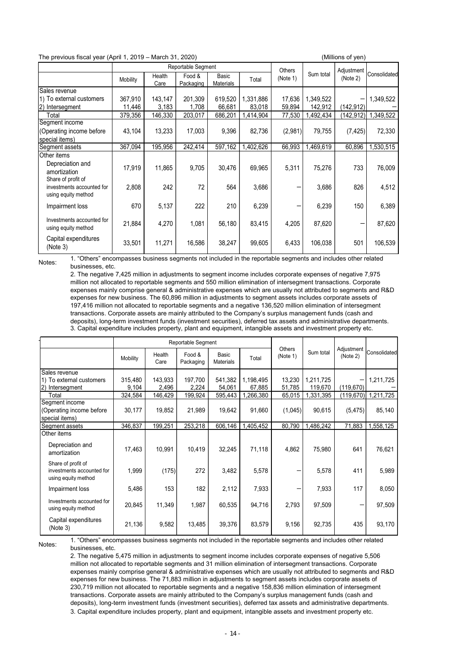| The previous fiscal year (April 1, 2019 - March 31, 2020) |                                                                                                                                                                                                                                  |         |                              |           |           |                   |           | (Millions of yen)        |                        |
|-----------------------------------------------------------|----------------------------------------------------------------------------------------------------------------------------------------------------------------------------------------------------------------------------------|---------|------------------------------|-----------|-----------|-------------------|-----------|--------------------------|------------------------|
|                                                           |                                                                                                                                                                                                                                  | Health  | Reportable Segment<br>Food & | Basic     |           | Others            | Sum total | Adjustment               | Consolidated           |
|                                                           | Mobility                                                                                                                                                                                                                         | Care    | Packaging                    | Materials | Total     | (Note 1)          |           | (Note 2)                 |                        |
| Sales revenue<br>1) To external customers                 | 367,910                                                                                                                                                                                                                          | 143,147 | 201,309                      | 619,520   | 1,331,886 | 17,636            | 1,349,522 |                          | 1,349,522              |
| 2) Intersegment                                           | 11,446                                                                                                                                                                                                                           | 3,183   | 1,708                        | 66,681    | 83,018    | 59,894            | 142,912   | (142, 912)               |                        |
| Total                                                     | 379,356                                                                                                                                                                                                                          | 146,330 | 203,017                      | 686,201   | 1,414,904 | 77,530            | 1,492,434 |                          | $(142, 912)$ 1,349,522 |
| Segment income                                            |                                                                                                                                                                                                                                  |         |                              |           |           |                   |           |                          |                        |
| (Operating income before                                  | 43,104                                                                                                                                                                                                                           | 13,233  | 17,003                       | 9,396     | 82,736    | (2,981)           | 79,755    | (7, 425)                 | 72,330                 |
| special items)<br>Segment assets                          | 367,094                                                                                                                                                                                                                          | 195,956 | 242,414                      | 597,162   | 1,402,626 | 66,993            | 1,469,619 | 60,896                   | 1,530,515              |
| Other items                                               |                                                                                                                                                                                                                                  |         |                              |           |           |                   |           |                          |                        |
| Depreciation and<br>amortization                          | 17,919                                                                                                                                                                                                                           | 11,865  | 9,705                        | 30,476    | 69,965    | 5,311             | 75,276    | 733                      | 76,009                 |
| Share of profit of<br>investments accounted for           | 2,808                                                                                                                                                                                                                            | 242     | 72                           | 564       | 3,686     | —                 | 3,686     | 826                      | 4,512                  |
| using equity method                                       |                                                                                                                                                                                                                                  |         |                              |           |           |                   |           |                          |                        |
| Impairment loss                                           | 670                                                                                                                                                                                                                              | 5,137   | 222                          | 210       | 6,239     | $\qquad \qquad -$ | 6,239     | 150                      | 6,389                  |
| Investments accounted for<br>using equity method          | 21,884                                                                                                                                                                                                                           | 4,270   | 1,081                        | 56,180    | 83,415    | 4,205             | 87,620    | $\overline{\phantom{0}}$ | 87,620                 |
| Capital expenditures<br>(Note 3)                          | 33,501                                                                                                                                                                                                                           | 11,271  | 16,586                       | 38,247    | 99,605    | 6,433             | 106,038   | 501                      | 106,539                |
| Notes:                                                    | 1. "Others" encompasses business segments not included in the reportable segments and includes other related                                                                                                                     |         |                              |           |           |                   |           |                          |                        |
| businesses, etc.                                          |                                                                                                                                                                                                                                  |         |                              |           |           |                   |           |                          |                        |
|                                                           | 2. The negative 7,425 million in adjustments to segment income includes corporate expenses of negative 7,975<br>million not allocated to reportable segments and 550 million elimination of intersegment transactions. Corporate |         |                              |           |           |                   |           |                          |                        |
|                                                           | expenses mainly comprise general & administrative expenses which are usually not attributed to segments and R&D                                                                                                                  |         |                              |           |           |                   |           |                          |                        |

| Share of profit of<br>investments accounted for<br>using equity method                                                                                                                                                                                                                                                                                                                                                                                                                                                                                                                                                                                                                                                | 2.808                                                                                                                                                                                                                                                                                                                                       | 242              | 72               | 564               | 3.686               |                   | 3,686                | 826        | 4,512     |
|-----------------------------------------------------------------------------------------------------------------------------------------------------------------------------------------------------------------------------------------------------------------------------------------------------------------------------------------------------------------------------------------------------------------------------------------------------------------------------------------------------------------------------------------------------------------------------------------------------------------------------------------------------------------------------------------------------------------------|---------------------------------------------------------------------------------------------------------------------------------------------------------------------------------------------------------------------------------------------------------------------------------------------------------------------------------------------|------------------|------------------|-------------------|---------------------|-------------------|----------------------|------------|-----------|
| Impairment loss                                                                                                                                                                                                                                                                                                                                                                                                                                                                                                                                                                                                                                                                                                       | 670                                                                                                                                                                                                                                                                                                                                         | 5,137            | 222              | 210               | 6,239               | -                 | 6,239                | 150        | 6,389     |
| Investments accounted for<br>using equity method                                                                                                                                                                                                                                                                                                                                                                                                                                                                                                                                                                                                                                                                      | 21,884                                                                                                                                                                                                                                                                                                                                      | 4,270            | 1,081            | 56,180            | 83,415              | 4,205             | 87,620               |            | 87,620    |
| Capital expenditures<br>(Note 3)                                                                                                                                                                                                                                                                                                                                                                                                                                                                                                                                                                                                                                                                                      | 33,501                                                                                                                                                                                                                                                                                                                                      | 11,271           | 16,586           | 38,247            | 99,605              | 6,433             | 106,038              | 501        | 106,539   |
| businesses, etc.<br>2. The negative 7,425 million in adjustments to segment income includes corporate expenses of negative 7,975<br>million not allocated to reportable segments and 550 million elimination of intersegment transactions. Corporate<br>expenses mainly comprise general & administrative expenses which are usually not attributed to segments and R&D<br>expenses for new business. The 60,896 million in adjustments to segment assets includes corporate assets of<br>197,416 million not allocated to reportable segments and a negative 136,520 million elimination of intersegment<br>transactions. Corporate assets are mainly attributed to the Company's surplus management funds (cash and |                                                                                                                                                                                                                                                                                                                                             |                  |                  |                   |                     |                   |                      |            |           |
|                                                                                                                                                                                                                                                                                                                                                                                                                                                                                                                                                                                                                                                                                                                       | deposits), long-term investment funds (investment securities), deferred tax assets and administrative departments.<br>3. Capital expenditure includes property, plant and equipment, intangible assets and investment property etc.<br>Reportable Segment<br>Others<br>Adjustment<br>Sum total<br>Consolidated<br>Food &<br>Health<br>Basic |                  |                  |                   |                     |                   |                      |            |           |
|                                                                                                                                                                                                                                                                                                                                                                                                                                                                                                                                                                                                                                                                                                                       | Mobility                                                                                                                                                                                                                                                                                                                                    | Care             | Packaging        | Materials         | Total               | (Note 1)          |                      | (Note 2)   |           |
| Sales revenue<br>1) To external customers<br>2) Intersegment                                                                                                                                                                                                                                                                                                                                                                                                                                                                                                                                                                                                                                                          | 315,480<br>9,104                                                                                                                                                                                                                                                                                                                            | 143,933<br>2,496 | 197,700<br>2,224 | 541,382<br>54,061 | 1,198,495<br>67,885 | 13,230<br>51,785  | 1,211,725<br>119,670 | (119, 670) | 1,211,725 |
| Total                                                                                                                                                                                                                                                                                                                                                                                                                                                                                                                                                                                                                                                                                                                 | 324,584                                                                                                                                                                                                                                                                                                                                     | 146,429          | 199,924          | 595,443           | 1,266,380           | 65,015            | 1,331,395            | (119, 670) | 1,211,725 |
| Segment income<br>(Operating income before<br>special items)                                                                                                                                                                                                                                                                                                                                                                                                                                                                                                                                                                                                                                                          | 30.177                                                                                                                                                                                                                                                                                                                                      | 19,852           | 21,989           | 19,642            | 91,660              | (1,045)           | 90,615               | (5, 475)   | 85,140    |
| Segment assets                                                                                                                                                                                                                                                                                                                                                                                                                                                                                                                                                                                                                                                                                                        | 346,837                                                                                                                                                                                                                                                                                                                                     | 199,251          | 253,218          | 606,146           | 1,405,452           | 80.790            | 1,486,242            | 71,883     | 1,558,125 |
| Other items<br>Depreciation and<br>amortization                                                                                                                                                                                                                                                                                                                                                                                                                                                                                                                                                                                                                                                                       | 17,463                                                                                                                                                                                                                                                                                                                                      | 10,991           | 10,419           | 32,245            | 71,118              | 4,862             | 75,980               | 641        | 76,621    |
| Share of profit of<br>investments accounted for<br>using equity method                                                                                                                                                                                                                                                                                                                                                                                                                                                                                                                                                                                                                                                | 1,999                                                                                                                                                                                                                                                                                                                                       | (175)            | 272              | 3,482             | 5,578               | -                 | 5,578                | 411        | 5,989     |
| Impairment loss                                                                                                                                                                                                                                                                                                                                                                                                                                                                                                                                                                                                                                                                                                       | 5,486                                                                                                                                                                                                                                                                                                                                       | 153              | 182              | 2,112             | 7,933               | $\qquad \qquad -$ | 7,933                | 117        | 8,050     |
| Investments accounted for<br>using equity method                                                                                                                                                                                                                                                                                                                                                                                                                                                                                                                                                                                                                                                                      | 20,845                                                                                                                                                                                                                                                                                                                                      | 11.349           | 1.987            | 60,535            | 94.716              | 2,793             | 97,509               |            | 97,509    |
| Capital expenditures<br>(Note 3)                                                                                                                                                                                                                                                                                                                                                                                                                                                                                                                                                                                                                                                                                      | 21.136                                                                                                                                                                                                                                                                                                                                      | 9,582            | 13,485           | 39,376            | 83,579              | 9.156             | 92,735               | 435        | 93,170    |
| 1. "Others" encompasses business segments not included in the reportable segments and includes other related<br>Notes:<br>businesses, etc.<br>2. The negative 5,475 million in adjustments to segment income includes corporate expenses of negative 5,506<br>million not allocated to reportable segments and 31 million elimination of intersegment transactions. Corporate<br>expenses mainly comprise general & administrative expenses which are usually not attributed to segments and R&D                                                                                                                                                                                                                      |                                                                                                                                                                                                                                                                                                                                             |                  |                  |                   |                     |                   |                      |            |           |

2. The negative 5,475 million in adjustments to segment income includes corporate expenses of negative 5,506 million not allocated to reportable segments and 31 million elimination of intersegment transactions. Corporate expenses mainly comprise general & administrative expenses which are usually not attributed to segments and R&D expenses for new business. The 71,883 million in adjustments to segment assets includes corporate assets of 230,719 million not allocated to reportable segments and a negative 158,836 million elimination of intersegment transactions. Corporate assets are mainly attributed to the Company's surplus management funds (cash and deposits), long-term investment funds (investment securities), deferred tax assets and administrative departments. 3. Capital expenditure includes property, plant and equipment, intangible assets and investment property etc.